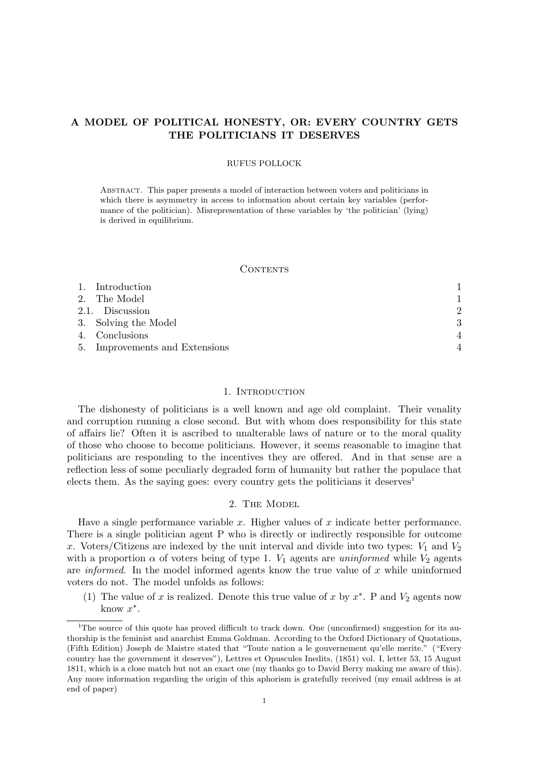# A MODEL OF POLITICAL HONESTY, OR: EVERY COUNTRY GETS THE POLITICIANS IT DESERVES

### RUFUS POLLOCK

Abstract. This paper presents a model of interaction between voters and politicians in which there is asymmetry in access to information about certain key variables (performance of the politician). Misrepresentation of these variables by 'the politician' (lying) is derived in equilibrium.

### **CONTENTS**

| 1. Introduction                |                           |
|--------------------------------|---------------------------|
| 2. The Model                   |                           |
| 2.1. Discussion                | $\mathcal{D}$             |
| 3. Solving the Model           | 3                         |
| 4. Conclusions                 | $\boldsymbol{\varLambda}$ |
| 5. Improvements and Extensions | $\boldsymbol{\varDelta}$  |

## 1. INTRODUCTION

The dishonesty of politicians is a well known and age old complaint. Their venality and corruption running a close second. But with whom does responsibility for this state of affairs lie? Often it is ascribed to unalterable laws of nature or to the moral quality of those who choose to become politicians. However, it seems reasonable to imagine that politicians are responding to the incentives they are offered. And in that sense are a reflection less of some peculiarly degraded form of humanity but rather the populace that elects them. As the saying goes: every country gets the politicians it deserves<sup>1</sup>

## 2. The Model

Have a single performance variable  $x$ . Higher values of  $x$  indicate better performance. There is a single politician agent P who is directly or indirectly responsible for outcome x. Voters/Citizens are indexed by the unit interval and divide into two types:  $V_1$  and  $V_2$ with a proportion  $\alpha$  of voters being of type 1.  $V_1$  agents are uninformed while  $V_2$  agents are *informed*. In the model informed agents know the true value of  $x$  while uninformed voters do not. The model unfolds as follows:

(1) The value of x is realized. Denote this true value of x by  $x^*$ . P and  $V_2$  agents now know  $x^*$ .

<sup>&</sup>lt;sup>1</sup>The source of this quote has proved difficult to track down. One (unconfirmed) suggestion for its authorship is the feminist and anarchist Emma Goldman. According to the Oxford Dictionary of Quotations, (Fifth Edition) Joseph de Maistre stated that "Toute nation a le gouvernement qu'elle merite." ("Every country has the government it deserves"), Lettres et Opuscules Inedits, (1851) vol. I, letter 53, 15 August 1811, which is a close match but not an exact one (my thanks go to David Berry making me aware of this). Any more information regarding the origin of this aphorism is gratefully received (my email address is at end of paper)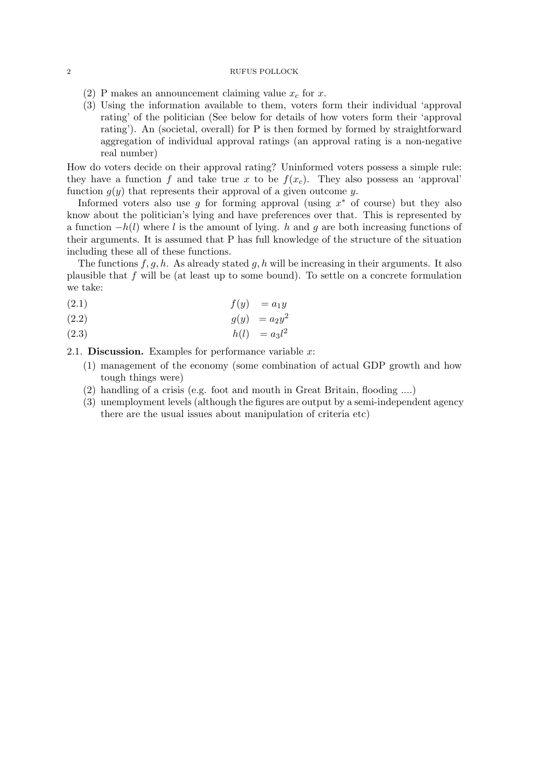#### 2 RUFUS POLLOCK

- (2) P makes an announcement claiming value  $x_c$  for x.
- (3) Using the information available to them, voters form their individual 'approval rating' of the politician (See below for details of how voters form their 'approval rating'). An (societal, overall) for P is then formed by formed by straightforward aggregation of individual approval ratings (an approval rating is a non-negative real number)

How do voters decide on their approval rating? Uninformed voters possess a simple rule: they have a function f and take true x to be  $f(x_c)$ . They also possess an 'approval' function  $g(y)$  that represents their approval of a given outcome y.

Informed voters also use g for forming approval (using  $x^*$  of course) but they also know about the politician's lying and have preferences over that. This is represented by a function  $-h(l)$  where l is the amount of lying. h and g are both increasing functions of their arguments. It is assumed that P has full knowledge of the structure of the situation including these all of these functions.

The functions  $f, g, h$ . As already stated  $g, h$  will be increasing in their arguments. It also plausible that  $f$  will be (at least up to some bound). To settle on a concrete formulation we take:

$$
(2.1) \t\t f(y) = a_1 y
$$

$$
(2.2) \t\t g(y) = a_2 y^2
$$

 $h(l) = a_3 l^2$ (2.3)

2.1. **Discussion.** Examples for performance variable  $x$ :

- (1) management of the economy (some combination of actual GDP growth and how tough things were)
- (2) handling of a crisis (e.g. foot and mouth in Great Britain, flooding ....)
- (3) unemployment levels (although the figures are output by a semi-independent agency there are the usual issues about manipulation of criteria etc)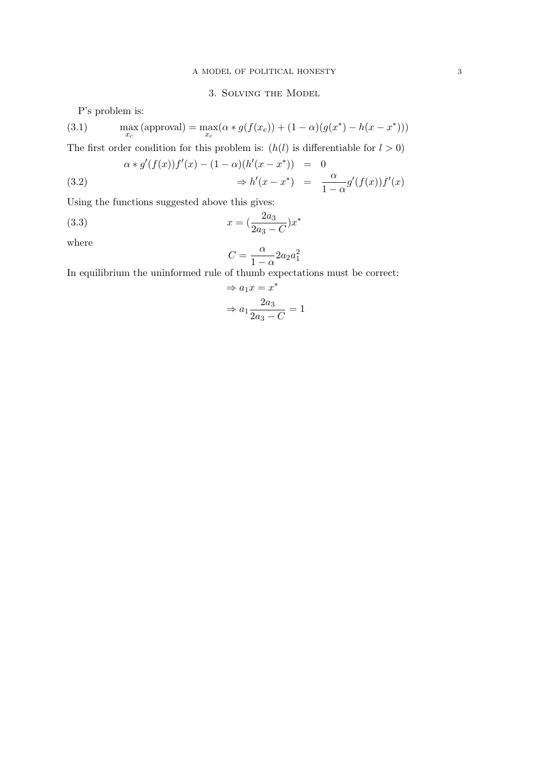# 3. Solving the Model

P's problem is:

(3.1) 
$$
\max_{x_c} (\text{approval}) = \max_{x_c} (\alpha * g(f(x_c)) + (1 - \alpha)(g(x^*) - h(x - x^*)))
$$

The first order condition for this problem is:  $(h(l)$  is differentiable for  $l > 0$ )

(3.2) 
$$
\alpha * g'(f(x))f'(x) - (1 - \alpha)(h'(x - x^*)) = 0
$$

$$
\Rightarrow h'(x - x^*) = \frac{\alpha}{1 - \alpha}g'(f(x))f'(x)
$$

Using the functions suggested above this gives:

(3.3) 
$$
x = \left(\frac{2a_3}{2a_3 - C}\right)x^*
$$

where

$$
C = \frac{\alpha}{1 - \alpha} 2a_2 a_1^2
$$

In equilibrium the uninformed rule of thumb expectations must be correct:

$$
\Rightarrow a_1 x = x^*
$$

$$
\Rightarrow a_1 \frac{2a_3}{2a_3 - C} = 1
$$